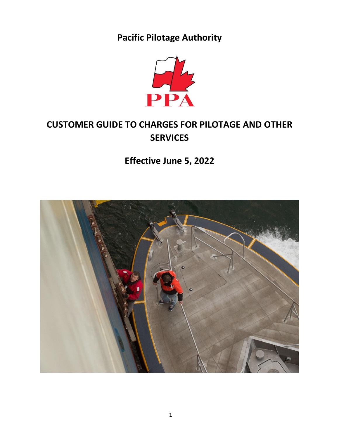# **Pacific Pilotage Authority**



# **CUSTOMER GUIDE TO CHARGES FOR PILOTAGE AND OTHER SERVICES**

**Effective June 5, 2022**

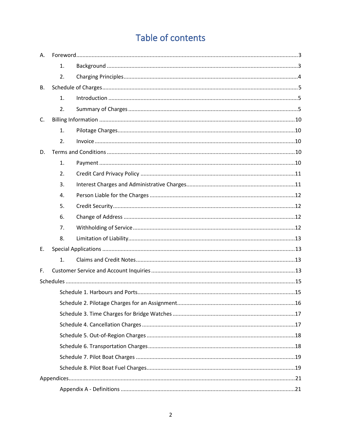# Table of contents

| Α. |    |  |
|----|----|--|
|    | 1. |  |
|    | 2. |  |
| В. |    |  |
|    | 1. |  |
|    | 2. |  |
| C. |    |  |
|    | 1. |  |
|    | 2. |  |
| D. |    |  |
|    | 1. |  |
|    | 2. |  |
|    | 3. |  |
|    | 4. |  |
|    | 5. |  |
|    | 6. |  |
|    | 7. |  |
|    | 8. |  |
| Ε. |    |  |
|    | 1. |  |
| F. |    |  |
|    |    |  |
|    |    |  |
|    |    |  |
|    |    |  |
|    |    |  |
|    |    |  |
|    |    |  |
|    |    |  |
|    |    |  |
|    |    |  |
|    |    |  |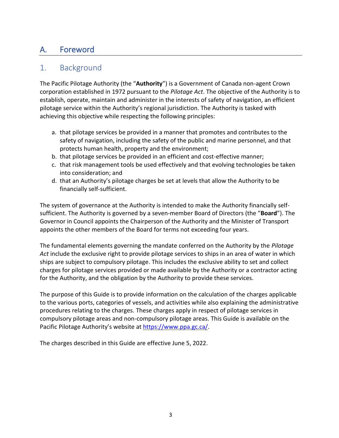# <span id="page-2-0"></span>A. Foreword

## <span id="page-2-1"></span>1. Background

The Pacific Pilotage Authority (the "**Authority**") is a Government of Canada non-agent Crown corporation established in 1972 pursuant to the *Pilotage Act*. The objective of the Authority is to establish, operate, maintain and administer in the interests of safety of navigation, an efficient pilotage service within the Authority's regional jurisdiction. The Authority is tasked with achieving this objective while respecting the following principles:

- a. that pilotage services be provided in a manner that promotes and contributes to the safety of navigation, including the safety of the public and marine personnel, and that protects human health, property and the environment;
- b. that pilotage services be provided in an efficient and cost-effective manner;
- c. that risk management tools be used effectively and that evolving technologies be taken into consideration; and
- d. that an Authority's pilotage charges be set at levels that allow the Authority to be financially self-sufficient.

The system of governance at the Authority is intended to make the Authority financially selfsufficient. The Authority is governed by a seven-member Board of Directors (the "**Board**"). The Governor in Council appoints the Chairperson of the Authority and the Minister of Transport appoints the other members of the Board for terms not exceeding four years.

The fundamental elements governing the mandate conferred on the Authority by the *Pilotage Act* include the exclusive right to provide pilotage services to ships in an area of water in which ships are subject to compulsory pilotage. This includes the exclusive ability to set and collect charges for pilotage services provided or made available by the Authority or a contractor acting for the Authority, and the obligation by the Authority to provide these services.

The purpose of this Guide is to provide information on the calculation of the charges applicable to the various ports, categories of vessels, and activities while also explaining the administrative procedures relating to the charges. These charges apply in respect of pilotage services in compulsory pilotage areas and non-compulsory pilotage areas. This Guide is available on the Pacific Pilotage Authority's website at [https://www.ppa.gc.ca/.](https://www.ppa.gc.ca/)

The charges described in this Guide are effective June 5, 2022.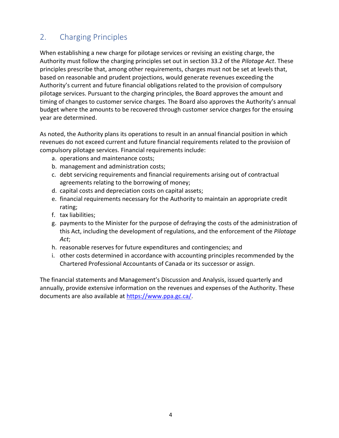# <span id="page-3-0"></span>2. Charging Principles

When establishing a new charge for pilotage services or revising an existing charge, the Authority must follow the charging principles set out in section 33.2 of the *Pilotage Act*. These principles prescribe that, among other requirements, charges must not be set at levels that, based on reasonable and prudent projections, would generate revenues exceeding the Authority's current and future financial obligations related to the provision of compulsory pilotage services. Pursuant to the charging principles, the Board approves the amount and timing of changes to customer service charges. The Board also approves the Authority's annual budget where the amounts to be recovered through customer service charges for the ensuing year are determined.

As noted, the Authority plans its operations to result in an annual financial position in which revenues do not exceed current and future financial requirements related to the provision of compulsory pilotage services. Financial requirements include:

- a. operations and maintenance costs;
- b. management and administration costs;
- c. debt servicing requirements and financial requirements arising out of contractual agreements relating to the borrowing of money;
- d. capital costs and depreciation costs on capital assets;
- e. financial requirements necessary for the Authority to maintain an appropriate credit rating;
- f. tax liabilities;
- g. payments to the Minister for the purpose of defraying the costs of the administration of this Act, including the development of regulations, and the enforcement of the *Pilotage Act*;
- h. reasonable reserves for future expenditures and contingencies; and
- i. other costs determined in accordance with accounting principles recommended by the Chartered Professional Accountants of Canada or its successor or assign.

The financial statements and Management's Discussion and Analysis, issued quarterly and annually, provide extensive information on the revenues and expenses of the Authority. These documents are also available at [https://www.ppa.gc.ca/.](https://www.ppa.gc.ca/)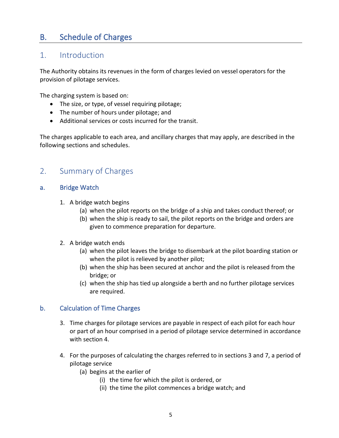# <span id="page-4-0"></span>B. Schedule of Charges

## <span id="page-4-1"></span>1. Introduction

The Authority obtains its revenues in the form of charges levied on vessel operators for the provision of pilotage services.

The charging system is based on:

- The size, or type, of vessel requiring pilotage;
- The number of hours under pilotage; and
- Additional services or costs incurred for the transit.

The charges applicable to each area, and ancillary charges that may apply, are described in the following sections and schedules.

## <span id="page-4-2"></span>2. Summary of Charges

## a. Bridge Watch

- 1. A bridge watch begins
	- (a) when the pilot reports on the bridge of a ship and takes conduct thereof; or
	- (b) when the ship is ready to sail, the pilot reports on the bridge and orders are given to commence preparation for departure.
- 2. A bridge watch ends
	- (a) when the pilot leaves the bridge to disembark at the pilot boarding station or when the pilot is relieved by another pilot;
	- (b) when the ship has been secured at anchor and the pilot is released from the bridge; or
	- (c) when the ship has tied up alongside a berth and no further pilotage services are required.

## b. Calculation of Time Charges

- 3. Time charges for pilotage services are payable in respect of each pilot for each hour or part of an hour comprised in a period of pilotage service determined in accordance with section 4.
- 4. For the purposes of calculating the charges referred to in sections 3 and 7, a period of pilotage service
	- (a) begins at the earlier of
		- (i) the time for which the pilot is ordered, or
		- (ii) the time the pilot commences a bridge watch; and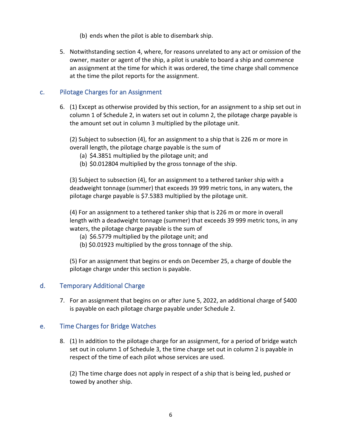- (b) ends when the pilot is able to disembark ship.
- 5. Notwithstanding section 4, where, for reasons unrelated to any act or omission of the owner, master or agent of the ship, a pilot is unable to board a ship and commence an assignment at the time for which it was ordered, the time charge shall commence at the time the pilot reports for the assignment.

## c. Pilotage Charges for an Assignment

6. (1) Except as otherwise provided by this section, for an assignment to a ship set out in column 1 of Schedule 2, in waters set out in column 2, the pilotage charge payable is the amount set out in column 3 multiplied by the pilotage unit.

(2) Subject to subsection (4), for an assignment to a ship that is 226 m or more in overall length, the pilotage charge payable is the sum of

- (a) \$4.3851 multiplied by the pilotage unit; and
- (b) \$0.012804 multiplied by the gross tonnage of the ship.

(3) Subject to subsection (4), for an assignment to a tethered tanker ship with a deadweight tonnage (summer) that exceeds 39 999 metric tons, in any waters, the pilotage charge payable is \$7.5383 multiplied by the pilotage unit.

(4) For an assignment to a tethered tanker ship that is 226 m or more in overall length with a deadweight tonnage (summer) that exceeds 39 999 metric tons, in any waters, the pilotage charge payable is the sum of

- (a) \$6.5779 multiplied by the pilotage unit; and
- (b) \$0.01923 multiplied by the gross tonnage of the ship.

(5) For an assignment that begins or ends on December 25, a charge of double the pilotage charge under this section is payable.

## d. Temporary Additional Charge

7. For an assignment that begins on or after June 5, 2022, an additional charge of \$400 is payable on each pilotage charge payable under Schedule 2.

## e. Time Charges for Bridge Watches

8. (1) In addition to the pilotage charge for an assignment, for a period of bridge watch set out in column 1 of Schedule 3, the time charge set out in column 2 is payable in respect of the time of each pilot whose services are used.

(2) The time charge does not apply in respect of a ship that is being led, pushed or towed by another ship.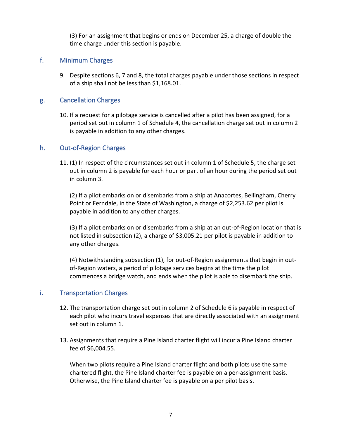(3) For an assignment that begins or ends on December 25, a charge of double the time charge under this section is payable.

## f. Minimum Charges

9. Despite sections 6, 7 and 8, the total charges payable under those sections in respect of a ship shall not be less than \$1,168.01.

## g. Cancellation Charges

10. If a request for a pilotage service is cancelled after a pilot has been assigned, for a period set out in column 1 of Schedule 4, the cancellation charge set out in column 2 is payable in addition to any other charges.

## h. Out-of-Region Charges

11. (1) In respect of the circumstances set out in column 1 of Schedule 5, the charge set out in column 2 is payable for each hour or part of an hour during the period set out in column 3.

(2) If a pilot embarks on or disembarks from a ship at Anacortes, Bellingham, Cherry Point or Ferndale, in the State of Washington, a charge of \$2,253.62 per pilot is payable in addition to any other charges.

(3) If a pilot embarks on or disembarks from a ship at an out-of-Region location that is not listed in subsection (2), a charge of \$3,005.21 per pilot is payable in addition to any other charges.

(4) Notwithstanding subsection (1), for out-of-Region assignments that begin in outof-Region waters, a period of pilotage services begins at the time the pilot commences a bridge watch, and ends when the pilot is able to disembark the ship.

## i. Transportation Charges

- 12. The transportation charge set out in column 2 of Schedule 6 is payable in respect of each pilot who incurs travel expenses that are directly associated with an assignment set out in column 1.
- 13. Assignments that require a Pine Island charter flight will incur a Pine Island charter fee of \$6,004.55.

When two pilots require a Pine Island charter flight and both pilots use the same chartered flight, the Pine Island charter fee is payable on a per-assignment basis. Otherwise, the Pine Island charter fee is payable on a per pilot basis.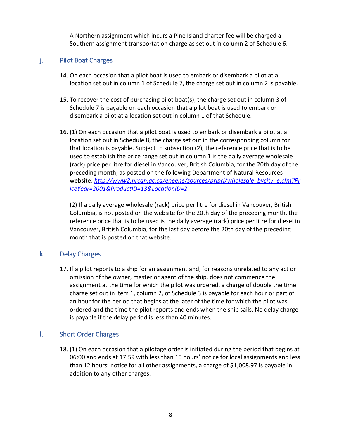A Northern assignment which incurs a Pine Island charter fee will be charged a Southern assignment transportation charge as set out in column 2 of Schedule 6.

## j. Pilot Boat Charges

- 14. On each occasion that a pilot boat is used to embark or disembark a pilot at a location set out in column 1 of Schedule 7, the charge set out in column 2 is payable.
- 15. To recover the cost of purchasing pilot boat(s), the charge set out in column 3 of Schedule 7 is payable on each occasion that a pilot boat is used to embark or disembark a pilot at a location set out in column 1 of that Schedule.
- 16. (1) On each occasion that a pilot boat is used to embark or disembark a pilot at a location set out in Schedule 8, the charge set out in the corresponding column for that location is payable. Subject to subsection (2), the reference price that is to be used to establish the price range set out in column 1 is the daily average wholesale (rack) price per litre for diesel in Vancouver, British Columbia, for the 20th day of the preceding month, as posted on the following Department of Natural Resources website: *[http://www2.nrcan.gc.ca/eneene/sources/pripri/wholesale\\_bycity\\_e.cfm?Pr](http://www2.nrcan.gc.ca/eneene/sources/pripri/wholesale_bycity_e.cfm?PriceYear=2001&ProductID=13&LocationID=2) [iceYear=2001&ProductID=13&LocationID=2](http://www2.nrcan.gc.ca/eneene/sources/pripri/wholesale_bycity_e.cfm?PriceYear=2001&ProductID=13&LocationID=2)*.

(2) If a daily average wholesale (rack) price per litre for diesel in Vancouver, British Columbia, is not posted on the website for the 20th day of the preceding month, the reference price that is to be used is the daily average (rack) price per litre for diesel in Vancouver, British Columbia, for the last day before the 20th day of the preceding month that is posted on that website.

## k. Delay Charges

17. If a pilot reports to a ship for an assignment and, for reasons unrelated to any act or omission of the owner, master or agent of the ship, does not commence the assignment at the time for which the pilot was ordered, a charge of double the time charge set out in item 1, column 2, of Schedule 3 is payable for each hour or part of an hour for the period that begins at the later of the time for which the pilot was ordered and the time the pilot reports and ends when the ship sails. No delay charge is payable if the delay period is less than 40 minutes.

## l. Short Order Charges

18. (1) On each occasion that a pilotage order is initiated during the period that begins at 06:00 and ends at 17:59 with less than 10 hours' notice for local assignments and less than 12 hours' notice for all other assignments, a charge of \$1,008.97 is payable in addition to any other charges.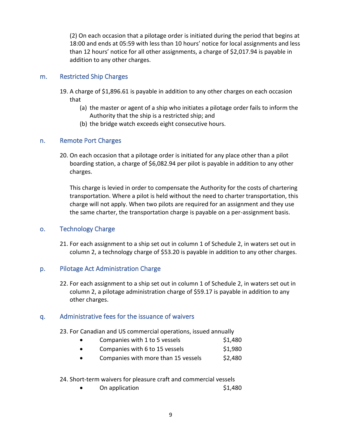(2) On each occasion that a pilotage order is initiated during the period that begins at 18:00 and ends at 05:59 with less than 10 hours' notice for local assignments and less than 12 hours' notice for all other assignments, a charge of \$2,017.94 is payable in addition to any other charges.

## m. Restricted Ship Charges

- 19. A charge of \$1,896.61 is payable in addition to any other charges on each occasion that
	- (a) the master or agent of a ship who initiates a pilotage order fails to inform the Authority that the ship is a restricted ship; and
	- (b) the bridge watch exceeds eight consecutive hours.

## n. Remote Port Charges

20. On each occasion that a pilotage order is initiated for any place other than a pilot boarding station, a charge of \$6,082.94 per pilot is payable in addition to any other charges.

This charge is levied in order to compensate the Authority for the costs of chartering transportation. Where a pilot is held without the need to charter transportation, this charge will not apply. When two pilots are required for an assignment and they use the same charter, the transportation charge is payable on a per-assignment basis.

## o. Technology Charge

21. For each assignment to a ship set out in column 1 of Schedule 2, in waters set out in column 2, a technology charge of \$53.20 is payable in addition to any other charges.

## p. Pilotage Act Administration Charge

22. For each assignment to a ship set out in column 1 of Schedule 2, in waters set out in column 2, a pilotage administration charge of \$59.17 is payable in addition to any other charges.

## q. Administrative fees for the issuance of waivers

23. For Canadian and US commercial operations, issued annually

- Companies with 1 to 5 vessels  $$1,480$
- Companies with 6 to 15 vessels  $$1,980$
- Companies with more than 15 vessels  $$2,480$
- 24. Short-term waivers for pleasure craft and commercial vessels
	- 0n application 51,480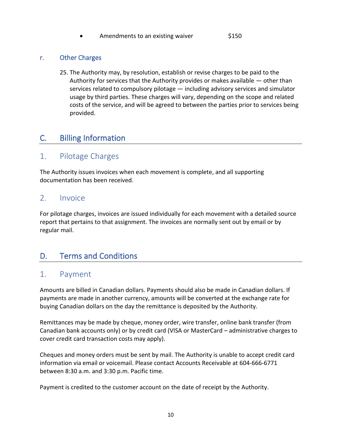Amendments to an existing waiver \$150

## r. Other Charges

25. The Authority may, by resolution, establish or revise charges to be paid to the Authority for services that the Authority provides or makes available  $-$  other than services related to compulsory pilotage — including advisory services and simulator usage by third parties. These charges will vary, depending on the scope and related costs of the service, and will be agreed to between the parties prior to services being provided.

## <span id="page-9-0"></span>C. Billing Information

## <span id="page-9-1"></span>1. Pilotage Charges

The Authority issues invoices when each movement is complete, and all supporting documentation has been received.

## <span id="page-9-2"></span>2. Invoice

For pilotage charges, invoices are issued individually for each movement with a detailed source report that pertains to that assignment. The invoices are normally sent out by email or by regular mail.

## <span id="page-9-3"></span>D. Terms and Conditions

## <span id="page-9-4"></span>1. Payment

Amounts are billed in Canadian dollars. Payments should also be made in Canadian dollars. If payments are made in another currency, amounts will be converted at the exchange rate for buying Canadian dollars on the day the remittance is deposited by the Authority.

Remittances may be made by cheque, money order, wire transfer, online bank transfer (from Canadian bank accounts only) or by credit card (VISA or MasterCard – administrative charges to cover credit card transaction costs may apply).

Cheques and money orders must be sent by mail. The Authority is unable to accept credit card information via email or voicemail. Please contact Accounts Receivable at 604-666-6771 between 8:30 a.m. and 3:30 p.m. Pacific time.

Payment is credited to the customer account on the date of receipt by the Authority.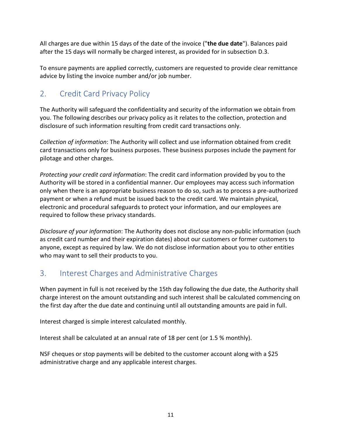All charges are due within 15 days of the date of the invoice ("**the due date**"). Balances paid after the 15 days will normally be charged interest, as provided for in subsection D.3.

To ensure payments are applied correctly, customers are requested to provide clear remittance advice by listing the invoice number and/or job number.

# <span id="page-10-0"></span>2. Credit Card Privacy Policy

The Authority will safeguard the confidentiality and security of the information we obtain from you. The following describes our privacy policy as it relates to the collection, protection and disclosure of such information resulting from credit card transactions only.

*Collection of information*: The Authority will collect and use information obtained from credit card transactions only for business purposes. These business purposes include the payment for pilotage and other charges.

*Protecting your credit card information*: The credit card information provided by you to the Authority will be stored in a confidential manner. Our employees may access such information only when there is an appropriate business reason to do so, such as to process a pre-authorized payment or when a refund must be issued back to the credit card. We maintain physical, electronic and procedural safeguards to protect your information, and our employees are required to follow these privacy standards.

*Disclosure of your information*: The Authority does not disclose any non-public information (such as credit card number and their expiration dates) about our customers or former customers to anyone, except as required by law. We do not disclose information about you to other entities who may want to sell their products to you.

# <span id="page-10-1"></span>3. Interest Charges and Administrative Charges

When payment in full is not received by the 15th day following the due date, the Authority shall charge interest on the amount outstanding and such interest shall be calculated commencing on the first day after the due date and continuing until all outstanding amounts are paid in full.

Interest charged is simple interest calculated monthly.

Interest shall be calculated at an annual rate of 18 per cent (or 1.5 % monthly).

NSF cheques or stop payments will be debited to the customer account along with a \$25 administrative charge and any applicable interest charges.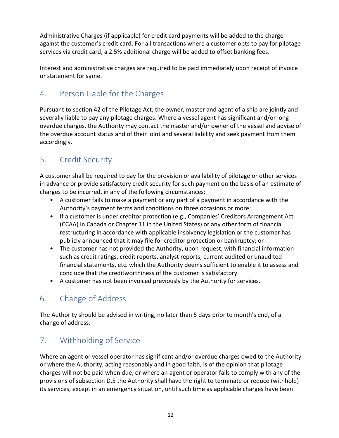Administrative Charges (if applicable) for credit card payments will be added to the charge against the customer's credit card. For all transactions where a customer opts to pay for pilotage services via credit card, a 2.5% additional charge will be added to offset banking fees.

Interest and administrative charges are required to be paid immediately upon receipt of invoice or statement for same.

# <span id="page-11-0"></span>4. Person Liable for the Charges

Pursuant to section 42 of the Pilotage Act, the owner, master and agent of a ship are jointly and severally liable to pay any pilotage charges. Where a vessel agent has significant and/or long overdue charges, the Authority may contact the master and/or owner of the vessel and advise of the overdue account status and of their joint and several liability and seek payment from them accordingly.

# <span id="page-11-1"></span>5. Credit Security

A customer shall be required to pay for the provision or availability of pilotage or other services in advance or provide satisfactory credit security for such payment on the basis of an estimate of charges to be incurred, in any of the following circumstances:

- A customer fails to make a payment or any part of a payment in accordance with the Authority's payment terms and conditions on three occasions or more;
- If a customer is under creditor protection (e.g., Companies' Creditors Arrangement Act (CCAA) in Canada or Chapter 11 in the United States) or any other form of financial restructuring in accordance with applicable insolvency legislation or the customer has publicly announced that it may file for creditor protection or bankruptcy; or
- The customer has not provided the Authority, upon request, with financial information such as credit ratings, credit reports, analyst reports, current audited or unaudited financial statements, etc. which the Authority deems sufficient to enable it to assess and conclude that the creditworthiness of the customer is satisfactory.
- A customer has not been invoiced previously by the Authority for services.

# <span id="page-11-2"></span>6. Change of Address

The Authority should be advised in writing, no later than 5 days prior to month's end, of a change of address.

# <span id="page-11-3"></span>7. Withholding of Service

Where an agent or vessel operator has significant and/or overdue charges owed to the Authority or where the Authority, acting reasonably and in good faith, is of the opinion that pilotage charges will not be paid when due, or where an agent or operator fails to comply with any of the provisions of subsection D.5 the Authority shall have the right to terminate or reduce (withhold) its services, except in an emergency situation, until such time as applicable charges have been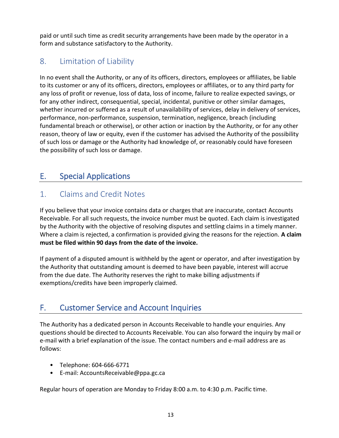paid or until such time as credit security arrangements have been made by the operator in a form and substance satisfactory to the Authority.

# <span id="page-12-0"></span>8. Limitation of Liability

In no event shall the Authority, or any of its officers, directors, employees or affiliates, be liable to its customer or any of its officers, directors, employees or affiliates, or to any third party for any loss of profit or revenue, loss of data, loss of income, failure to realize expected savings, or for any other indirect, consequential, special, incidental, punitive or other similar damages, whether incurred or suffered as a result of unavailability of services, delay in delivery of services, performance, non-performance, suspension, termination, negligence, breach (including fundamental breach or otherwise), or other action or inaction by the Authority, or for any other reason, theory of law or equity, even if the customer has advised the Authority of the possibility of such loss or damage or the Authority had knowledge of, or reasonably could have foreseen the possibility of such loss or damage.

# <span id="page-12-1"></span>E. Special Applications

# <span id="page-12-2"></span>1. Claims and Credit Notes

If you believe that your invoice contains data or charges that are inaccurate, contact Accounts Receivable. For all such requests, the invoice number must be quoted. Each claim is investigated by the Authority with the objective of resolving disputes and settling claims in a timely manner. Where a claim is rejected, a confirmation is provided giving the reasons for the rejection. **A claim must be filed within 90 days from the date of the invoice.** 

If payment of a disputed amount is withheld by the agent or operator, and after investigation by the Authority that outstanding amount is deemed to have been payable, interest will accrue from the due date. The Authority reserves the right to make billing adjustments if exemptions/credits have been improperly claimed.

# <span id="page-12-3"></span>F. Customer Service and Account Inquiries

The Authority has a dedicated person in Accounts Receivable to handle your enquiries. Any questions should be directed to Accounts Receivable. You can also forward the inquiry by mail or e-mail with a brief explanation of the issue. The contact numbers and e-mail address are as follows:

- Telephone: 604-666-6771
- E-mail: AccountsReceivable@ppa.gc.ca

Regular hours of operation are Monday to Friday 8:00 a.m. to 4:30 p.m. Pacific time.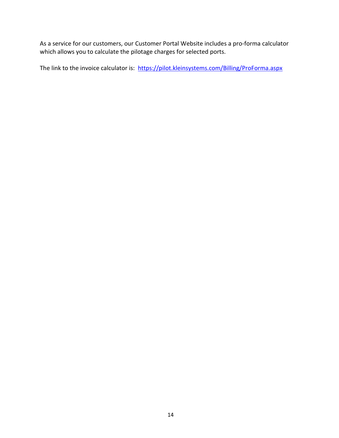As a service for our customers, our Customer Portal Website includes a pro-forma calculator which allows you to calculate the pilotage charges for selected ports.

The link to the invoice calculator is: <https://pilot.kleinsystems.com/Billing/ProForma.aspx>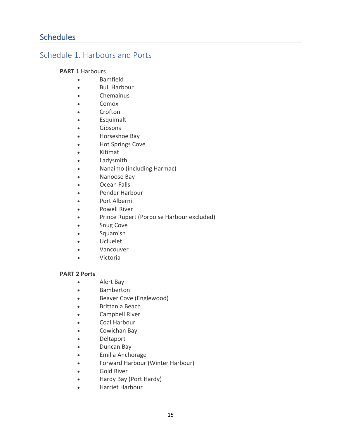## <span id="page-14-1"></span><span id="page-14-0"></span>Schedule 1. Harbours and Ports

### **PART 1** Harbours

- Bamfield
- Bull Harbour
- Chemainus
- Comox
- Crofton
- Esquimalt
- Gibsons
- Horseshoe Bay
- Hot Springs Cove
- Kitimat
- Ladysmith
- Nanaimo (including Harmac)
- Nanoose Bay
- Ocean Falls
- Pender Harbour
- Port Alberni
- Powell River
- Prince Rupert (Porpoise Harbour excluded)
- Snug Cove
- Squamish
- Ucluelet
- Vancouver
- Victoria

#### **PART 2 Ports**

- Alert Bay
- Bamberton
- Beaver Cove (Englewood)
- Brittania Beach
- Campbell River
- Coal Harbour
- Cowichan Bay
- Deltaport
- Duncan Bay
- Emilia Anchorage
- Forward Harbour (Winter Harbour)
- Gold River
- Hardy Bay (Port Hardy)
- Harriet Harbour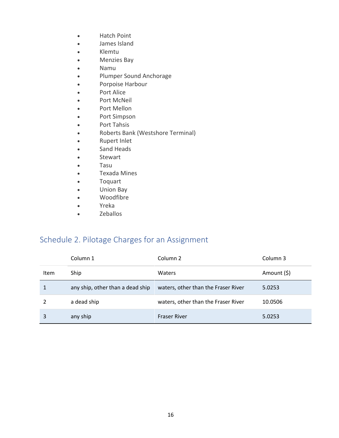- Hatch Point
- James Island
- Klemtu
- Menzies Bay
- Namu
- Plumper Sound Anchorage
- Porpoise Harbour
- Port Alice
- Port McNeil
- Port Mellon
- Port Simpson
- Port Tahsis
- Roberts Bank (Westshore Terminal)
- Rupert Inlet
- Sand Heads
- Stewart
- Tasu
- Texada Mines
- Toquart
- Union Bay
- Woodfibre
- Yreka
- Zeballos

# <span id="page-15-0"></span>Schedule 2. Pilotage Charges for an Assignment

|      | Column 1                         | Column 2                            | Column 3    |
|------|----------------------------------|-------------------------------------|-------------|
| Item | Ship                             | Waters                              | Amount (\$) |
|      | any ship, other than a dead ship | waters, other than the Fraser River | 5.0253      |
|      | a dead ship                      | waters, other than the Fraser River | 10.0506     |
| 3    | any ship                         | <b>Fraser River</b>                 | 5.0253      |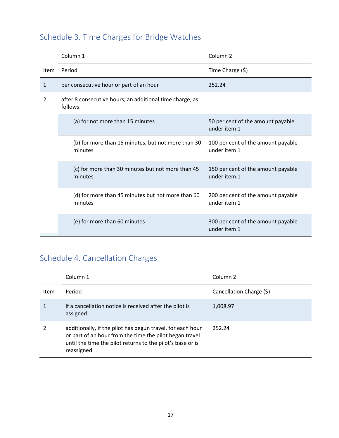# <span id="page-16-0"></span>Schedule 3. Time Charges for Bridge Watches

|      | Column <sub>1</sub>                                                  | Column <sub>2</sub>                                |
|------|----------------------------------------------------------------------|----------------------------------------------------|
| Item | Period                                                               | Time Charge (\$)                                   |
| 1    | per consecutive hour or part of an hour                              | 252.24                                             |
| 2    | after 8 consecutive hours, an additional time charge, as<br>follows: |                                                    |
|      | (a) for not more than 15 minutes                                     | 50 per cent of the amount payable<br>under item 1  |
|      | (b) for more than 15 minutes, but not more than 30<br>minutes        | 100 per cent of the amount payable<br>under item 1 |
|      | (c) for more than 30 minutes but not more than 45<br>minutes         | 150 per cent of the amount payable<br>under item 1 |
|      | (d) for more than 45 minutes but not more than 60<br>minutes         | 200 per cent of the amount payable<br>under item 1 |
|      | (e) for more than 60 minutes                                         | 300 per cent of the amount payable<br>under item 1 |

# <span id="page-16-1"></span>Schedule 4. Cancellation Charges

|      | Column 1                                                                                                                                                                                          | Column <sub>2</sub>      |
|------|---------------------------------------------------------------------------------------------------------------------------------------------------------------------------------------------------|--------------------------|
| Item | Period                                                                                                                                                                                            | Cancellation Charge (\$) |
|      | if a cancellation notice is received after the pilot is<br>assigned                                                                                                                               | 1,008.97                 |
|      | additionally, if the pilot has begun travel, for each hour<br>or part of an hour from the time the pilot began travel<br>until the time the pilot returns to the pilot's base or is<br>reassigned | 252.24                   |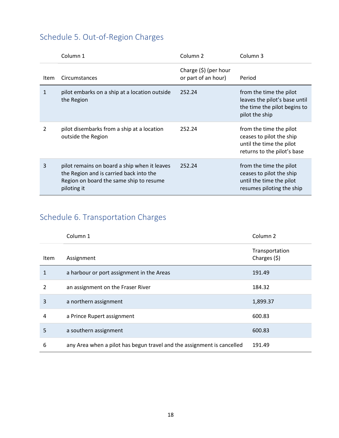# <span id="page-17-0"></span>Schedule 5. Out-of-Region Charges

|               | Column 1                                                                                                                                          | Column <sub>2</sub>                             | Column <sub>3</sub>                                                                                            |
|---------------|---------------------------------------------------------------------------------------------------------------------------------------------------|-------------------------------------------------|----------------------------------------------------------------------------------------------------------------|
| Item          | Circumstances                                                                                                                                     | Charge $(\xi)$ (per hour<br>or part of an hour) | Period                                                                                                         |
| 1             | pilot embarks on a ship at a location outside<br>the Region                                                                                       | 252.24                                          | from the time the pilot<br>leaves the pilot's base until<br>the time the pilot begins to<br>pilot the ship     |
| $\mathcal{P}$ | pilot disembarks from a ship at a location<br>outside the Region                                                                                  | 252.24                                          | from the time the pilot<br>ceases to pilot the ship<br>until the time the pilot<br>returns to the pilot's base |
| 3             | pilot remains on board a ship when it leaves<br>the Region and is carried back into the<br>Region on board the same ship to resume<br>piloting it | 252.24                                          | from the time the pilot<br>ceases to pilot the ship<br>until the time the pilot<br>resumes piloting the ship   |

# <span id="page-17-1"></span>Schedule 6. Transportation Charges

|               | Column 1                                                               | Column <sub>2</sub>             |
|---------------|------------------------------------------------------------------------|---------------------------------|
| <b>Item</b>   | Assignment                                                             | Transportation<br>Charges $(5)$ |
| 1             | a harbour or port assignment in the Areas                              | 191.49                          |
| $\mathfrak z$ | an assignment on the Fraser River                                      | 184.32                          |
| 3             | a northern assignment                                                  | 1,899.37                        |
| 4             | a Prince Rupert assignment                                             | 600.83                          |
| 5             | a southern assignment                                                  | 600.83                          |
| 6             | any Area when a pilot has begun travel and the assignment is cancelled | 191.49                          |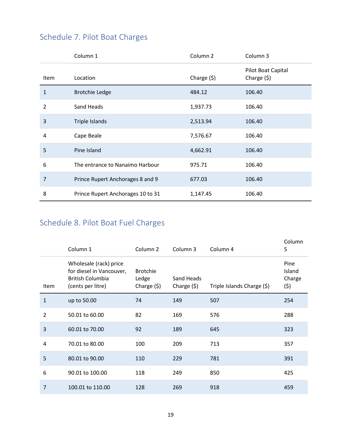|              | Column 1                          | Column <sub>2</sub> | Column 3                           |
|--------------|-----------------------------------|---------------------|------------------------------------|
| Item         | Location                          | Charge $(5)$        | Pilot Boat Capital<br>Charge $(5)$ |
| $\mathbf{1}$ | <b>Brotchie Ledge</b>             | 484.12              | 106.40                             |
| 2            | Sand Heads                        | 1,937.73            | 106.40                             |
| 3            | Triple Islands                    | 2,513.94            | 106.40                             |
| 4            | Cape Beale                        | 7,576.67            | 106.40                             |
| 5            | Pine Island                       | 4,662.91            | 106.40                             |
| 6            | The entrance to Nanaimo Harbour   | 975.71              | 106.40                             |
| 7            | Prince Rupert Anchorages 8 and 9  | 677.03              | 106.40                             |
| 8            | Prince Rupert Anchorages 10 to 31 | 1,147.45            | 106.40                             |

# <span id="page-18-0"></span>Schedule 7. Pilot Boat Charges

# <span id="page-18-1"></span>Schedule 8. Pilot Boat Fuel Charges

|                | Column 1                                                                                           | Column <sub>2</sub>                      | Column 3                   | Column 4                   | Column<br>5                     |
|----------------|----------------------------------------------------------------------------------------------------|------------------------------------------|----------------------------|----------------------------|---------------------------------|
| Item           | Wholesale (rack) price<br>for diesel in Vancouver,<br><b>British Columbia</b><br>(cents per litre) | <b>Brotchie</b><br>Ledge<br>Charge $(5)$ | Sand Heads<br>Charge $(5)$ | Triple Islands Charge (\$) | Pine<br>Island<br>Charge<br>(5) |
| $\mathbf{1}$   | up to 50.00                                                                                        | 74                                       | 149                        | 507                        | 254                             |
| $\overline{2}$ | 50.01 to 60.00                                                                                     | 82                                       | 169                        | 576                        | 288                             |
| 3              | 60.01 to 70.00                                                                                     | 92                                       | 189                        | 645                        | 323                             |
| 4              | 70.01 to 80.00                                                                                     | 100                                      | 209                        | 713                        | 357                             |
| 5              | 80.01 to 90.00                                                                                     | 110                                      | 229                        | 781                        | 391                             |
| 6              | 90.01 to 100.00                                                                                    | 118                                      | 249                        | 850                        | 425                             |
| $\overline{7}$ | 100.01 to 110.00                                                                                   | 128                                      | 269                        | 918                        | 459                             |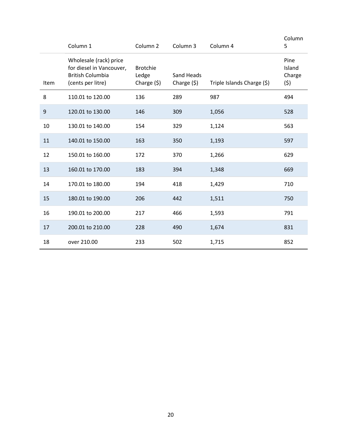|                  | Column 1                                                                                           | Column <sub>2</sub>                      | Column 3                   | Column 4                   | Column<br>5                     |
|------------------|----------------------------------------------------------------------------------------------------|------------------------------------------|----------------------------|----------------------------|---------------------------------|
| Item             | Wholesale (rack) price<br>for diesel in Vancouver,<br><b>British Columbia</b><br>(cents per litre) | <b>Brotchie</b><br>Ledge<br>Charge $(5)$ | Sand Heads<br>Charge $(5)$ | Triple Islands Charge (\$) | Pine<br>Island<br>Charge<br>(5) |
| 8                | 110.01 to 120.00                                                                                   | 136                                      | 289                        | 987                        | 494                             |
| $\boldsymbol{9}$ | 120.01 to 130.00                                                                                   | 146                                      | 309                        | 1,056                      | 528                             |
| 10               | 130.01 to 140.00                                                                                   | 154                                      | 329                        | 1,124                      | 563                             |
| 11               | 140.01 to 150.00                                                                                   | 163                                      | 350                        | 1,193                      | 597                             |
| 12               | 150.01 to 160.00                                                                                   | 172                                      | 370                        | 1,266                      | 629                             |
| 13               | 160.01 to 170.00                                                                                   | 183                                      | 394                        | 1,348                      | 669                             |
| 14               | 170.01 to 180.00                                                                                   | 194                                      | 418                        | 1,429                      | 710                             |
| 15               | 180.01 to 190.00                                                                                   | 206                                      | 442                        | 1,511                      | 750                             |
| 16               | 190.01 to 200.00                                                                                   | 217                                      | 466                        | 1,593                      | 791                             |
| 17               | 200.01 to 210.00                                                                                   | 228                                      | 490                        | 1,674                      | 831                             |
| 18               | over 210.00                                                                                        | 233                                      | 502                        | 1,715                      | 852                             |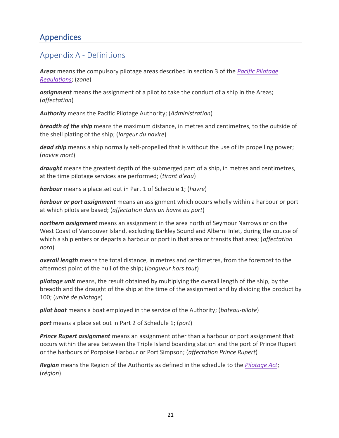# <span id="page-20-0"></span>Appendices

# <span id="page-20-1"></span>Appendix A - Definitions

*Areas* means the compulsory pilotage areas described in section 3 of the *[Pacific Pilotage](https://laws-lois.justice.gc.ca/eng/regulations/C.R.C.,_c._1270)  [Regulations](https://laws-lois.justice.gc.ca/eng/regulations/C.R.C.,_c._1270)*; (*zone*)

*assignment* means the assignment of a pilot to take the conduct of a ship in the Areas; (*affectation*)

*Authority* means the Pacific Pilotage Authority; (*Administration*)

*breadth of the ship* means the maximum distance, in metres and centimetres, to the outside of the shell plating of the ship; (*largeur du navire*)

*dead ship* means a ship normally self-propelled that is without the use of its propelling power; (*navire mort*)

*draught* means the greatest depth of the submerged part of a ship, in metres and centimetres, at the time pilotage services are performed; (*tirant d'eau*)

*harbour* means a place set out in Part 1 of Schedule 1; (*havre*)

*harbour or port assignment* means an assignment which occurs wholly within a harbour or port at which pilots are based; (*affectation dans un havre ou port*)

*northern assignment* means an assignment in the area north of Seymour Narrows or on the West Coast of Vancouver Island, excluding Barkley Sound and Alberni Inlet, during the course of which a ship enters or departs a harbour or port in that area or transits that area; (*affectation nord*)

*overall length* means the total distance, in metres and centimetres, from the foremost to the aftermost point of the hull of the ship; (*longueur hors tout*)

*pilotage unit* means, the result obtained by multiplying the overall length of the ship, by the breadth and the draught of the ship at the time of the assignment and by dividing the product by 100; (*unité de pilotage*)

*pilot boat* means a boat employed in the service of the Authority; (*bateau-pilote*)

*port* means a place set out in Part 2 of Schedule 1; (*port*)

*Prince Rupert assignment* means an assignment other than a harbour or port assignment that occurs within the area between the Triple Island boarding station and the port of Prince Rupert or the harbours of Porpoise Harbour or Port Simpson; (*affectation Prince Rupert*)

*Region* means the Region of the Authority as defined in the schedule to the *[Pilotage Act](https://laws-lois.justice.gc.ca/eng/acts/P-14)*; (*région*)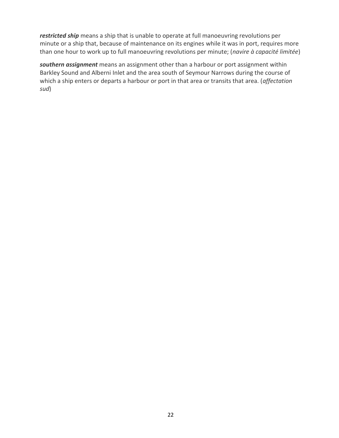*restricted ship* means a ship that is unable to operate at full manoeuvring revolutions per minute or a ship that, because of maintenance on its engines while it was in port, requires more than one hour to work up to full manoeuvring revolutions per minute; (*navire à capacité limitée*)

*southern assignment* means an assignment other than a harbour or port assignment within Barkley Sound and Alberni Inlet and the area south of Seymour Narrows during the course of which a ship enters or departs a harbour or port in that area or transits that area. (*affectation sud*)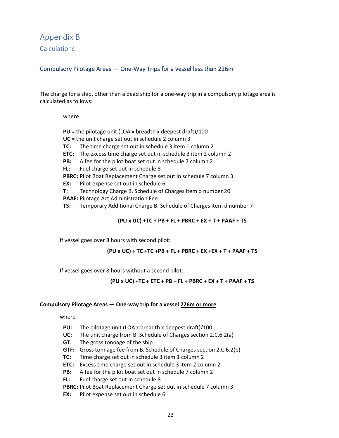Appendix B **Calculations** 

### Compulsory Pilotage Areas — One-Way Trips for a vessel less than 226m

The charge for a ship, other than a dead ship for a one-way trip in a compulsory pilotage area is calculated as follows:

where

- **PU** = the pilotage unit (LOA x breadth x deepest draft)/100
- **UC** = the unit charge set out in schedule 2 column 3
- **TC:** The time charge set out in schedule 3 item 1 column 2
- **ETC:** The excess time charge set out in schedule 3 item 2 column 2
- **PB:** A fee for the pilot boat set out in schedule 7 column 2
- **FL:** Fuel charge set out in schedule 8

**PBRC:** Pilot Boat Replacement Charge set out in schedule 7 column 3

- **EX:** Pilot expense set out in schedule 6
- **T:** Technology Charge B. Schedule of Charges item o number 20
- **PAAF:** Pilotage Act Administration Fee
- **TS:** Temporary Additional Charge B. Schedule of Charges item d number 7

**(PU x UC) +TC + PB + FL + PBRC + EX + T + PAAF + TS**

If vessel goes over 8 hours with second pilot:

**(PU x UC) + TC +TC +PB + FL + PBRC + EX +EX + T + PAAF + TS**

If vessel goes over 8 hours without a second pilot:

**(PU x UC) +TC + ETC + PB + FL + PBRC + EX + T + PAAF + TS**

#### **Compulsory Pilotage Areas — One-way trip for a vessel 226m or more**

where

- **PU:** The pilotage unit (LOA x breadth x deepest draft)/100
- **UC:** The unit charge from B. Schedule of Charges section 2.C.6.2(a)
- **GT:** The gross tonnage of the ship
- **GTF:** Gross tonnage fee from B. Schedule of Charges section 2.C.6.2(b)
- **TC:** Time charge set out in schedule 3 item 1 column 2
- **ETC:** Excess time charge set out in schedule 3 item 2 column 2
- **PB:** A fee for the pilot boat set out in schedule 7 column 2

**FL:** Fuel charge set out in schedule 8

**PBRC:** Pilot Boat Replacement Charge set out in schedule 7 column 3

**EX:** Pilot expense set out in schedule 6